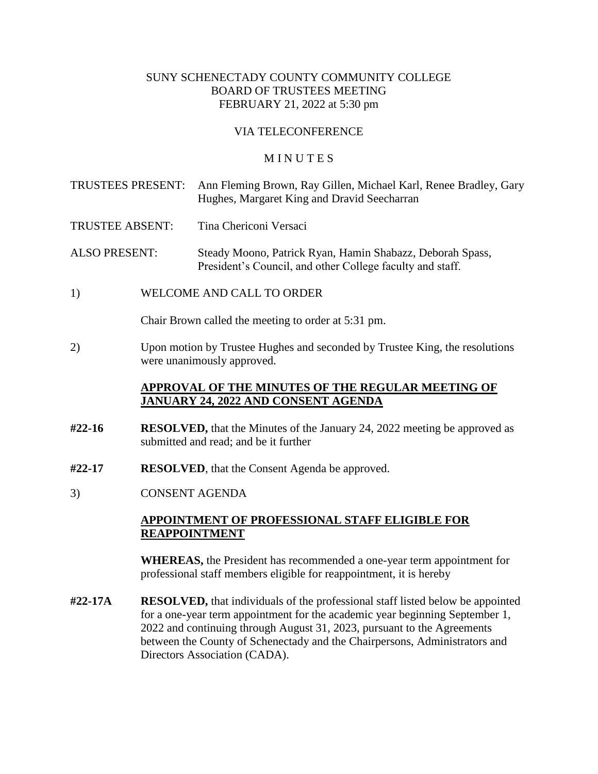### SUNY SCHENECTADY COUNTY COMMUNITY COLLEGE BOARD OF TRUSTEES MEETING FEBRUARY 21, 2022 at 5:30 pm

#### VIA TELECONFERENCE

#### **MINUTES**

- TRUSTEES PRESENT: Ann Fleming Brown, Ray Gillen, Michael Karl, Renee Bradley, Gary Hughes, Margaret King and Dravid Seecharran
- TRUSTEE ABSENT: Tina Chericoni Versaci
- ALSO PRESENT: Steady Moono, Patrick Ryan, Hamin Shabazz, Deborah Spass, President's Council, and other College faculty and staff.
- 1) WELCOME AND CALL TO ORDER

Chair Brown called the meeting to order at 5:31 pm.

2) Upon motion by Trustee Hughes and seconded by Trustee King, the resolutions were unanimously approved.

### **APPROVAL OF THE MINUTES OF THE REGULAR MEETING OF JANUARY 24, 2022 AND CONSENT AGENDA**

- **#22-16 RESOLVED,** that the Minutes of the January 24, 2022 meeting be approved as submitted and read; and be it further
- **#22-17 RESOLVED**, that the Consent Agenda be approved.
- 3) CONSENT AGENDA

### **APPOINTMENT OF PROFESSIONAL STAFF ELIGIBLE FOR REAPPOINTMENT**

**WHEREAS,** the President has recommended a one-year term appointment for professional staff members eligible for reappointment, it is hereby

**#22-17A RESOLVED,** that individuals of the professional staff listed below be appointed for a one-year term appointment for the academic year beginning September 1, 2022 and continuing through August 31, 2023, pursuant to the Agreements between the County of Schenectady and the Chairpersons, Administrators and Directors Association (CADA).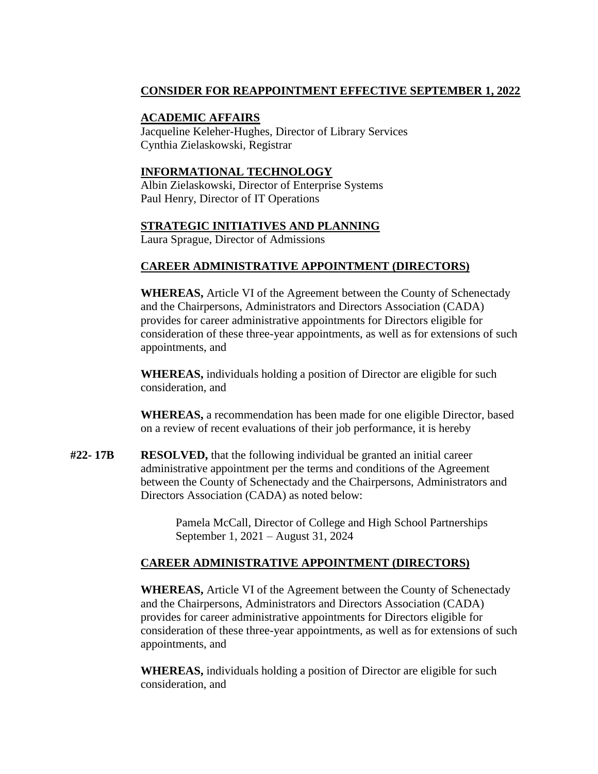# **CONSIDER FOR REAPPOINTMENT EFFECTIVE SEPTEMBER 1, 2022**

### **ACADEMIC AFFAIRS**

Jacqueline Keleher-Hughes, Director of Library Services Cynthia Zielaskowski, Registrar

### **INFORMATIONAL TECHNOLOGY**

Albin Zielaskowski, Director of Enterprise Systems Paul Henry, Director of IT Operations

## **STRATEGIC INITIATIVES AND PLANNING**

Laura Sprague, Director of Admissions

## **CAREER ADMINISTRATIVE APPOINTMENT (DIRECTORS)**

**WHEREAS,** Article VI of the Agreement between the County of Schenectady and the Chairpersons, Administrators and Directors Association (CADA) provides for career administrative appointments for Directors eligible for consideration of these three-year appointments, as well as for extensions of such appointments, and

**WHEREAS,** individuals holding a position of Director are eligible for such consideration, and

**WHEREAS,** a recommendation has been made for one eligible Director, based on a review of recent evaluations of their job performance, it is hereby

**#22- 17B RESOLVED,** that the following individual be granted an initial career administrative appointment per the terms and conditions of the Agreement between the County of Schenectady and the Chairpersons, Administrators and Directors Association (CADA) as noted below:

> Pamela McCall, Director of College and High School Partnerships September 1, 2021 – August 31, 2024

## **CAREER ADMINISTRATIVE APPOINTMENT (DIRECTORS)**

**WHEREAS,** Article VI of the Agreement between the County of Schenectady and the Chairpersons, Administrators and Directors Association (CADA) provides for career administrative appointments for Directors eligible for consideration of these three-year appointments, as well as for extensions of such appointments, and

**WHEREAS,** individuals holding a position of Director are eligible for such consideration, and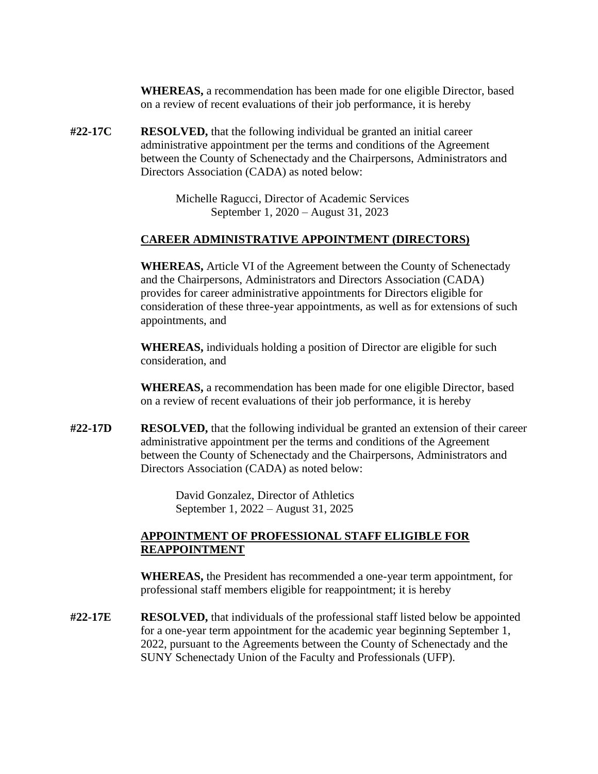**WHEREAS,** a recommendation has been made for one eligible Director, based on a review of recent evaluations of their job performance, it is hereby

**#22-17C RESOLVED,** that the following individual be granted an initial career administrative appointment per the terms and conditions of the Agreement between the County of Schenectady and the Chairpersons, Administrators and Directors Association (CADA) as noted below:

> Michelle Ragucci, Director of Academic Services September 1, 2020 – August 31, 2023

### **CAREER ADMINISTRATIVE APPOINTMENT (DIRECTORS)**

**WHEREAS,** Article VI of the Agreement between the County of Schenectady and the Chairpersons, Administrators and Directors Association (CADA) provides for career administrative appointments for Directors eligible for consideration of these three-year appointments, as well as for extensions of such appointments, and

**WHEREAS,** individuals holding a position of Director are eligible for such consideration, and

**WHEREAS,** a recommendation has been made for one eligible Director, based on a review of recent evaluations of their job performance, it is hereby

**#22-17D RESOLVED,** that the following individual be granted an extension of their career administrative appointment per the terms and conditions of the Agreement between the County of Schenectady and the Chairpersons, Administrators and Directors Association (CADA) as noted below:

> David Gonzalez, Director of Athletics September 1, 2022 – August 31, 2025

### **APPOINTMENT OF PROFESSIONAL STAFF ELIGIBLE FOR REAPPOINTMENT**

**WHEREAS,** the President has recommended a one-year term appointment, for professional staff members eligible for reappointment; it is hereby

**#22-17E RESOLVED,** that individuals of the professional staff listed below be appointed for a one-year term appointment for the academic year beginning September 1, 2022, pursuant to the Agreements between the County of Schenectady and the SUNY Schenectady Union of the Faculty and Professionals (UFP).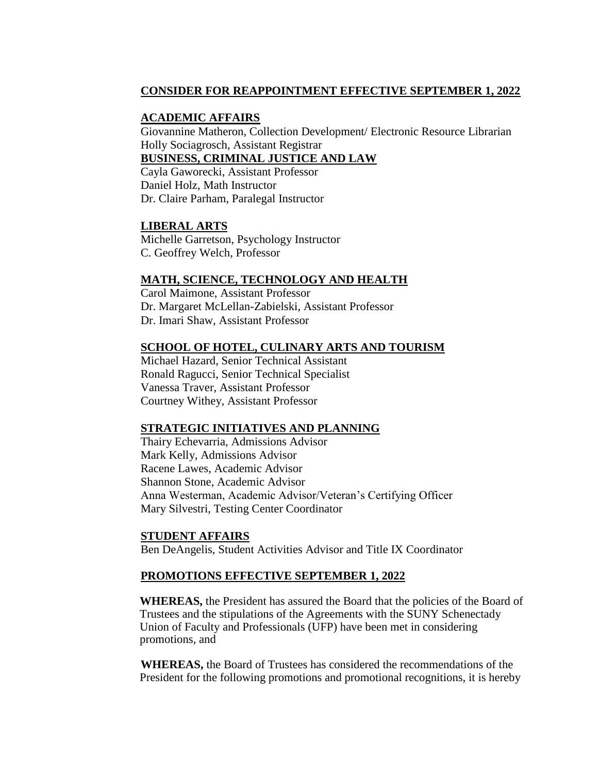## **CONSIDER FOR REAPPOINTMENT EFFECTIVE SEPTEMBER 1, 2022**

### **ACADEMIC AFFAIRS**

Giovannine Matheron, Collection Development/ Electronic Resource Librarian Holly Sociagrosch, Assistant Registrar **BUSINESS, CRIMINAL JUSTICE AND LAW**

Cayla Gaworecki, Assistant Professor Daniel Holz, Math Instructor Dr. Claire Parham, Paralegal Instructor

### **LIBERAL ARTS**

Michelle Garretson, Psychology Instructor C. Geoffrey Welch, Professor

### **MATH, SCIENCE, TECHNOLOGY AND HEALTH**

Carol Maimone, Assistant Professor Dr. Margaret McLellan-Zabielski, Assistant Professor Dr. Imari Shaw, Assistant Professor

### **SCHOOL OF HOTEL, CULINARY ARTS AND TOURISM**

Michael Hazard, Senior Technical Assistant Ronald Ragucci, Senior Technical Specialist Vanessa Traver, Assistant Professor Courtney Withey, Assistant Professor

### **STRATEGIC INITIATIVES AND PLANNING**

Thairy Echevarria, Admissions Advisor Mark Kelly, Admissions Advisor Racene Lawes, Academic Advisor Shannon Stone, Academic Advisor Anna Westerman, Academic Advisor/Veteran's Certifying Officer Mary Silvestri, Testing Center Coordinator

### **STUDENT AFFAIRS**

Ben DeAngelis, Student Activities Advisor and Title IX Coordinator

## **PROMOTIONS EFFECTIVE SEPTEMBER 1, 2022**

**WHEREAS,** the President has assured the Board that the policies of the Board of Trustees and the stipulations of the Agreements with the SUNY Schenectady Union of Faculty and Professionals (UFP) have been met in considering promotions, and

**WHEREAS,** the Board of Trustees has considered the recommendations of the President for the following promotions and promotional recognitions, it is hereby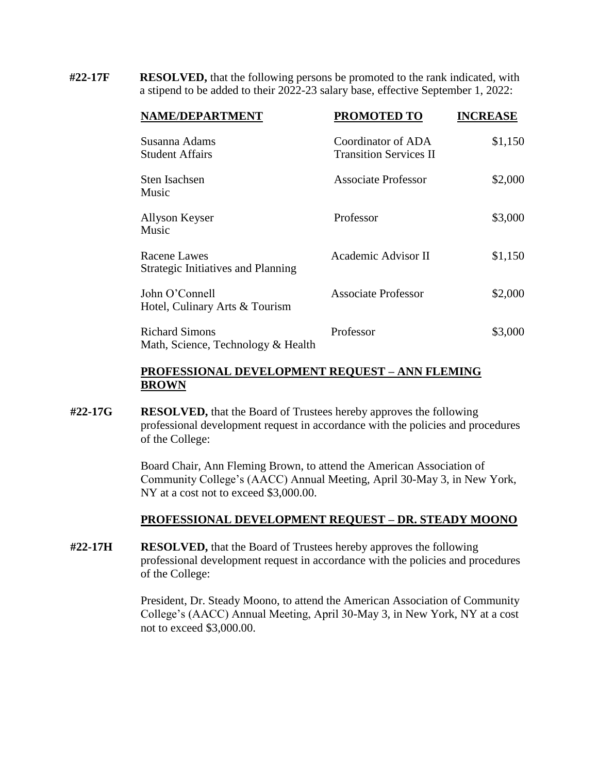**#22-17F RESOLVED,** that the following persons be promoted to the rank indicated, with a stipend to be added to their 2022-23 salary base, effective September 1, 2022:

| NAME/DEPARTMENT                                             | PROMOTED TO                                         | <b>INCREASE</b> |
|-------------------------------------------------------------|-----------------------------------------------------|-----------------|
| Susanna Adams<br><b>Student Affairs</b>                     | Coordinator of ADA<br><b>Transition Services II</b> | \$1,150         |
| Sten Isachsen<br>Music                                      | <b>Associate Professor</b>                          | \$2,000         |
| Allyson Keyser<br>Music                                     | Professor                                           | \$3,000         |
| Racene Lawes<br>Strategic Initiatives and Planning          | Academic Advisor II                                 | \$1,150         |
| John O'Connell<br>Hotel, Culinary Arts & Tourism            | <b>Associate Professor</b>                          | \$2,000         |
| <b>Richard Simons</b><br>Math, Science, Technology & Health | Professor                                           | \$3,000         |

### **PROFESSIONAL DEVELOPMENT REQUEST – ANN FLEMING BROWN**

**#22-17G RESOLVED,** that the Board of Trustees hereby approves the following professional development request in accordance with the policies and procedures of the College:

> Board Chair, Ann Fleming Brown, to attend the American Association of Community College's (AACC) Annual Meeting, April 30-May 3, in New York, NY at a cost not to exceed \$3,000.00.

### **PROFESSIONAL DEVELOPMENT REQUEST – DR. STEADY MOONO**

**#22-17H RESOLVED,** that the Board of Trustees hereby approves the following professional development request in accordance with the policies and procedures of the College:

> President, Dr. Steady Moono, to attend the American Association of Community College's (AACC) Annual Meeting, April 30-May 3, in New York, NY at a cost not to exceed \$3,000.00.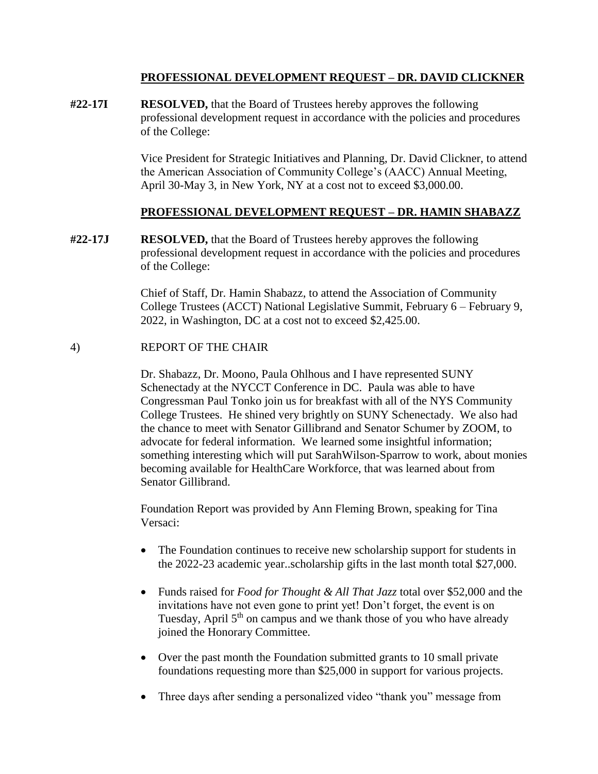### **PROFESSIONAL DEVELOPMENT REQUEST – DR. DAVID CLICKNER**

**#22-17I RESOLVED,** that the Board of Trustees hereby approves the following professional development request in accordance with the policies and procedures of the College:

> Vice President for Strategic Initiatives and Planning, Dr. David Clickner, to attend the American Association of Community College's (AACC) Annual Meeting, April 30-May 3, in New York, NY at a cost not to exceed \$3,000.00.

## **PROFESSIONAL DEVELOPMENT REQUEST – DR. HAMIN SHABAZZ**

**#22-17J RESOLVED,** that the Board of Trustees hereby approves the following professional development request in accordance with the policies and procedures of the College:

> Chief of Staff, Dr. Hamin Shabazz, to attend the Association of Community College Trustees (ACCT) National Legislative Summit, February 6 – February 9, 2022, in Washington, DC at a cost not to exceed \$2,425.00.

## 4) REPORT OF THE CHAIR

Dr. Shabazz, Dr. Moono, Paula Ohlhous and I have represented SUNY Schenectady at the NYCCT Conference in DC. Paula was able to have Congressman Paul Tonko join us for breakfast with all of the NYS Community College Trustees. He shined very brightly on SUNY Schenectady. We also had the chance to meet with Senator Gillibrand and Senator Schumer by ZOOM, to advocate for federal information. We learned some insightful information; something interesting which will put SarahWilson-Sparrow to work, about monies becoming available for HealthCare Workforce, that was learned about from Senator Gillibrand.

Foundation Report was provided by Ann Fleming Brown, speaking for Tina Versaci:

- The Foundation continues to receive new scholarship support for students in the 2022-23 academic year..scholarship gifts in the last month total \$27,000.
- Funds raised for *Food for Thought & All That Jazz* total over \$52,000 and the invitations have not even gone to print yet! Don't forget, the event is on Tuesday, April  $5<sup>th</sup>$  on campus and we thank those of you who have already joined the Honorary Committee.
- Over the past month the Foundation submitted grants to 10 small private foundations requesting more than \$25,000 in support for various projects.
- Three days after sending a personalized video "thank you" message from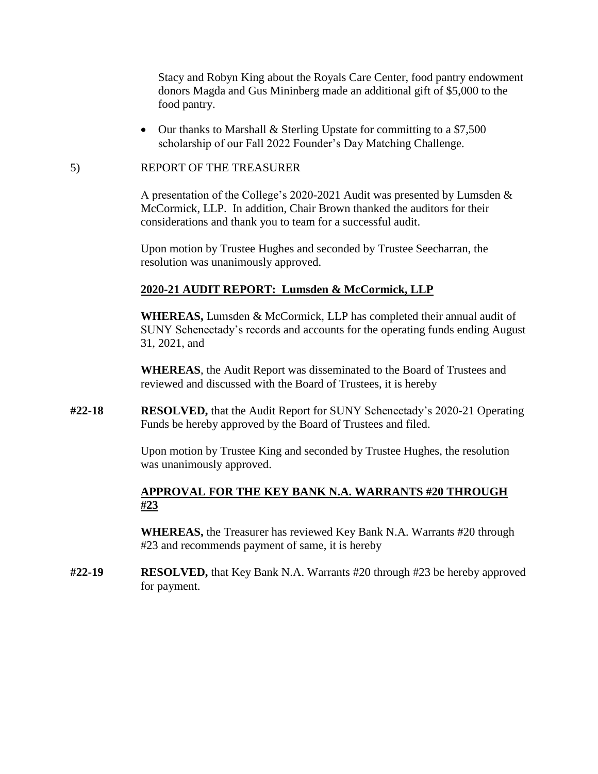Stacy and Robyn King about the Royals Care Center, food pantry endowment donors Magda and Gus Mininberg made an additional gift of \$5,000 to the food pantry.

• Our thanks to Marshall & Sterling Upstate for committing to a \$7,500 scholarship of our Fall 2022 Founder's Day Matching Challenge.

#### 5) REPORT OF THE TREASURER

A presentation of the College's 2020-2021 Audit was presented by Lumsden & McCormick, LLP. In addition, Chair Brown thanked the auditors for their considerations and thank you to team for a successful audit.

Upon motion by Trustee Hughes and seconded by Trustee Seecharran, the resolution was unanimously approved.

### **2020-21 AUDIT REPORT: Lumsden & McCormick, LLP**

**WHEREAS,** Lumsden & McCormick, LLP has completed their annual audit of SUNY Schenectady's records and accounts for the operating funds ending August 31, 2021, and

**WHEREAS**, the Audit Report was disseminated to the Board of Trustees and reviewed and discussed with the Board of Trustees, it is hereby

**#22-18 RESOLVED,** that the Audit Report for SUNY Schenectady's 2020-21 Operating Funds be hereby approved by the Board of Trustees and filed.

> Upon motion by Trustee King and seconded by Trustee Hughes, the resolution was unanimously approved.

## **APPROVAL FOR THE KEY BANK N.A. WARRANTS #20 THROUGH #23**

**WHEREAS,** the Treasurer has reviewed Key Bank N.A. Warrants #20 through #23 and recommends payment of same, it is hereby

**#22-19 RESOLVED,** that Key Bank N.A. Warrants #20 through #23 be hereby approved for payment.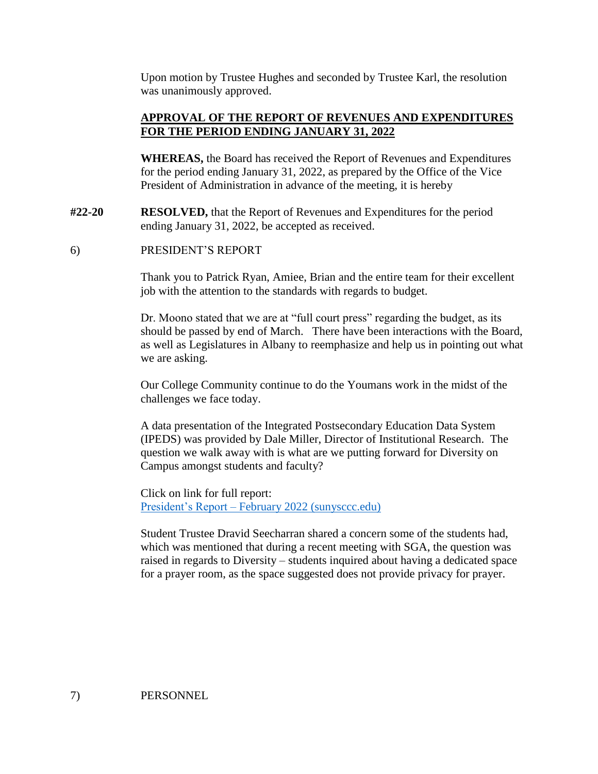Upon motion by Trustee Hughes and seconded by Trustee Karl, the resolution was unanimously approved.

# **APPROVAL OF THE REPORT OF REVENUES AND EXPENDITURES FOR THE PERIOD ENDING JANUARY 31, 2022**

**WHEREAS,** the Board has received the Report of Revenues and Expenditures for the period ending January 31, 2022, as prepared by the Office of the Vice President of Administration in advance of the meeting, it is hereby

- **#22-20 RESOLVED,** that the Report of Revenues and Expenditures for the period ending January 31, 2022, be accepted as received.
- 6) PRESIDENT'S REPORT

Thank you to Patrick Ryan, Amiee, Brian and the entire team for their excellent job with the attention to the standards with regards to budget.

Dr. Moono stated that we are at "full court press" regarding the budget, as its should be passed by end of March. There have been interactions with the Board, as well as Legislatures in Albany to reemphasize and help us in pointing out what we are asking.

Our College Community continue to do the Youmans work in the midst of the challenges we face today.

A data presentation of the Integrated Postsecondary Education Data System (IPEDS) was provided by Dale Miller, Director of Institutional Research. The question we walk away with is what are we putting forward for Diversity on Campus amongst students and faculty?

Click on link for full report: [President's Report –](https://sunysccc.edu/PDF/About%20SCCC/CollegeLeadershipVision/PresidentsReport_2-2022.pdf) February 2022 (sunysccc.edu)

Student Trustee Dravid Seecharran shared a concern some of the students had, which was mentioned that during a recent meeting with SGA, the question was raised in regards to Diversity – students inquired about having a dedicated space for a prayer room, as the space suggested does not provide privacy for prayer.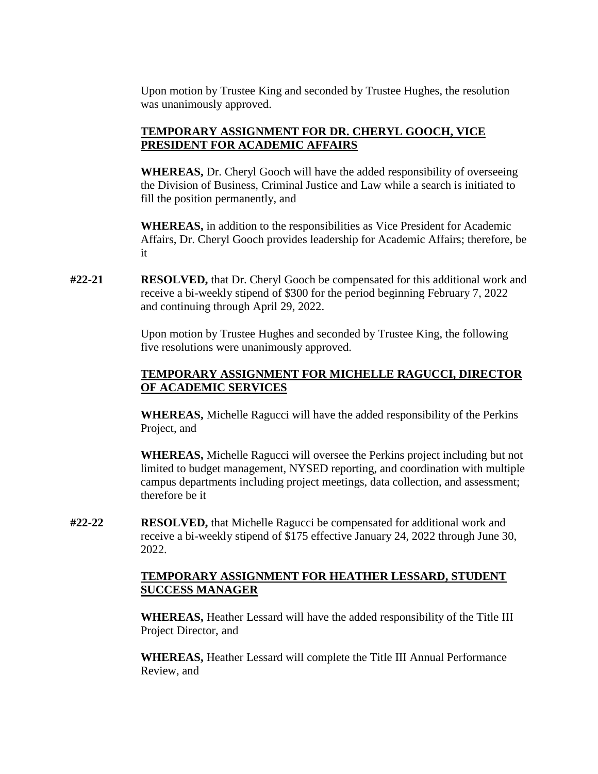Upon motion by Trustee King and seconded by Trustee Hughes, the resolution was unanimously approved.

# **TEMPORARY ASSIGNMENT FOR DR. CHERYL GOOCH, VICE PRESIDENT FOR ACADEMIC AFFAIRS**

**WHEREAS,** Dr. Cheryl Gooch will have the added responsibility of overseeing the Division of Business, Criminal Justice and Law while a search is initiated to fill the position permanently, and

**WHEREAS,** in addition to the responsibilities as Vice President for Academic Affairs, Dr. Cheryl Gooch provides leadership for Academic Affairs; therefore, be it

**#22-21 RESOLVED,** that Dr. Cheryl Gooch be compensated for this additional work and receive a bi-weekly stipend of \$300 for the period beginning February 7, 2022 and continuing through April 29, 2022.

> Upon motion by Trustee Hughes and seconded by Trustee King, the following five resolutions were unanimously approved.

# **TEMPORARY ASSIGNMENT FOR MICHELLE RAGUCCI, DIRECTOR OF ACADEMIC SERVICES**

**WHEREAS,** Michelle Ragucci will have the added responsibility of the Perkins Project, and

**WHEREAS,** Michelle Ragucci will oversee the Perkins project including but not limited to budget management, NYSED reporting, and coordination with multiple campus departments including project meetings, data collection, and assessment; therefore be it

**#22-22 RESOLVED,** that Michelle Ragucci be compensated for additional work and receive a bi-weekly stipend of \$175 effective January 24, 2022 through June 30, 2022.

### **TEMPORARY ASSIGNMENT FOR HEATHER LESSARD, STUDENT SUCCESS MANAGER**

**WHEREAS,** Heather Lessard will have the added responsibility of the Title III Project Director, and

**WHEREAS,** Heather Lessard will complete the Title III Annual Performance Review, and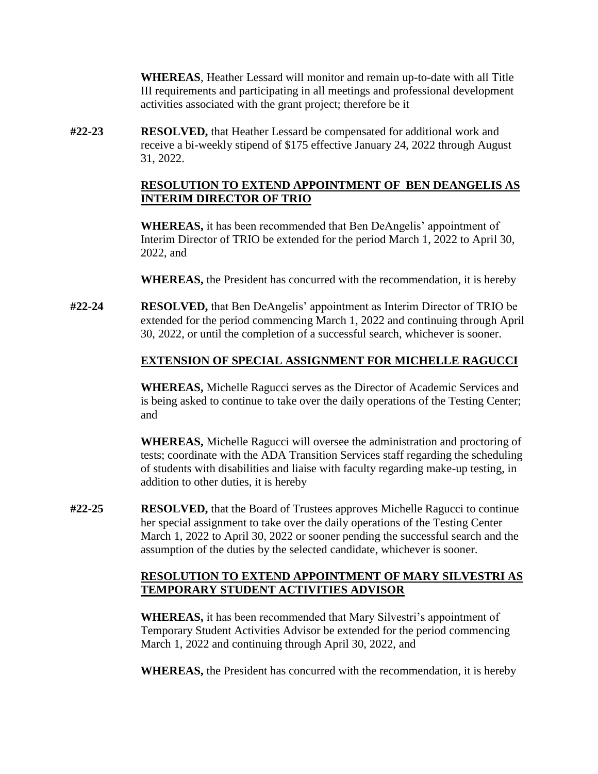**WHEREAS**, Heather Lessard will monitor and remain up-to-date with all Title III requirements and participating in all meetings and professional development activities associated with the grant project; therefore be it

**#22-23 RESOLVED,** that Heather Lessard be compensated for additional work and receive a bi-weekly stipend of \$175 effective January 24, 2022 through August 31, 2022.

## **RESOLUTION TO EXTEND APPOINTMENT OF BEN DEANGELIS AS INTERIM DIRECTOR OF TRIO**

**WHEREAS,** it has been recommended that Ben DeAngelis' appointment of Interim Director of TRIO be extended for the period March 1, 2022 to April 30, 2022, and

**WHEREAS,** the President has concurred with the recommendation, it is hereby

**#22-24 RESOLVED,** that Ben DeAngelis' appointment as Interim Director of TRIO be extended for the period commencing March 1, 2022 and continuing through April 30, 2022, or until the completion of a successful search, whichever is sooner.

## **EXTENSION OF SPECIAL ASSIGNMENT FOR MICHELLE RAGUCCI**

**WHEREAS,** Michelle Ragucci serves as the Director of Academic Services and is being asked to continue to take over the daily operations of the Testing Center; and

**WHEREAS,** Michelle Ragucci will oversee the administration and proctoring of tests; coordinate with the ADA Transition Services staff regarding the scheduling of students with disabilities and liaise with faculty regarding make-up testing, in addition to other duties, it is hereby

**#22-25 RESOLVED,** that the Board of Trustees approves Michelle Ragucci to continue her special assignment to take over the daily operations of the Testing Center March 1, 2022 to April 30, 2022 or sooner pending the successful search and the assumption of the duties by the selected candidate, whichever is sooner.

## **RESOLUTION TO EXTEND APPOINTMENT OF MARY SILVESTRI AS TEMPORARY STUDENT ACTIVITIES ADVISOR**

**WHEREAS,** it has been recommended that Mary Silvestri's appointment of Temporary Student Activities Advisor be extended for the period commencing March 1, 2022 and continuing through April 30, 2022, and

**WHEREAS,** the President has concurred with the recommendation, it is hereby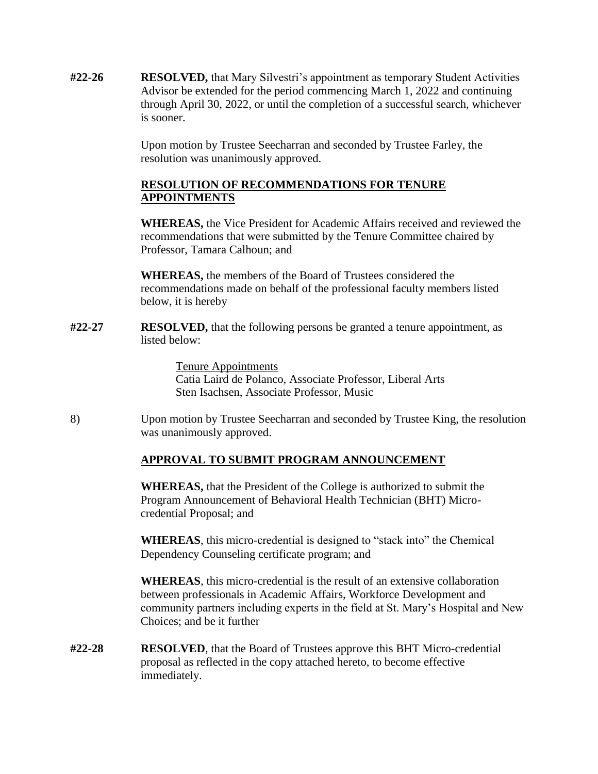**#22-26 RESOLVED,** that Mary Silvestri's appointment as temporary Student Activities Advisor be extended for the period commencing March 1, 2022 and continuing through April 30, 2022, or until the completion of a successful search, whichever is sooner.

> Upon motion by Trustee Seecharran and seconded by Trustee Farley, the resolution was unanimously approved.

### **RESOLUTION OF RECOMMENDATIONS FOR TENURE APPOINTMENTS**

**WHEREAS,** the Vice President for Academic Affairs received and reviewed the recommendations that were submitted by the Tenure Committee chaired by Professor, Tamara Calhoun; and

**WHEREAS,** the members of the Board of Trustees considered the recommendations made on behalf of the professional faculty members listed below, it is hereby

**#22-27 RESOLVED,** that the following persons be granted a tenure appointment, as listed below:

> Tenure Appointments Catia Laird de Polanco, Associate Professor, Liberal Arts Sten Isachsen, Associate Professor, Music

8) Upon motion by Trustee Seecharran and seconded by Trustee King, the resolution was unanimously approved.

## **APPROVAL TO SUBMIT PROGRAM ANNOUNCEMENT**

**WHEREAS,** that the President of the College is authorized to submit the Program Announcement of Behavioral Health Technician (BHT) Microcredential Proposal; and

**WHEREAS**, this micro-credential is designed to "stack into" the Chemical Dependency Counseling certificate program; and

**WHEREAS**, this micro-credential is the result of an extensive collaboration between professionals in Academic Affairs, Workforce Development and community partners including experts in the field at St. Mary's Hospital and New Choices; and be it further

**#22-28 RESOLVED**, that the Board of Trustees approve this BHT Micro-credential proposal as reflected in the copy attached hereto, to become effective immediately.